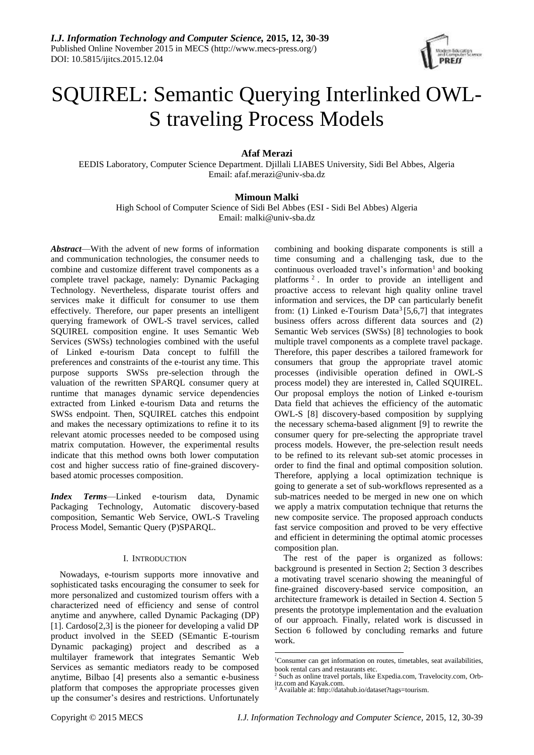

# SQUIREL: Semantic Querying Interlinked OWL-S traveling Process Models

# **Afaf Merazi**

EEDIS Laboratory, Computer Science Department. Djillali LIABES University, Sidi Bel Abbes, Algeria Email: afaf.merazi@univ-sba.dz

# **Mimoun Malki**

High School of Computer Science of Sidi Bel Abbes (ESI - Sidi Bel Abbes) Algeria Email: malki@univ-sba.dz

*Abstract*—With the advent of new forms of information and communication technologies, the consumer needs to combine and customize different travel components as a complete travel package, namely: Dynamic Packaging Technology. Nevertheless, disparate tourist offers and services make it difficult for consumer to use them effectively. Therefore, our paper presents an intelligent querying framework of OWL-S travel services, called SQUIREL composition engine. It uses Semantic Web Services (SWSs) technologies combined with the useful of Linked e-tourism Data concept to fulfill the preferences and constraints of the e-tourist any time. This purpose supports SWSs pre-selection through the valuation of the rewritten SPARQL consumer query at runtime that manages dynamic service dependencies extracted from Linked e-tourism Data and returns the SWSs endpoint. Then, SQUIREL catches this endpoint and makes the necessary optimizations to refine it to its relevant atomic processes needed to be composed using matrix computation. However, the experimental results indicate that this method owns both lower computation cost and higher success ratio of fine-grained discoverybased atomic processes composition.

*Index Terms*—Linked e-tourism data, Dynamic Packaging Technology, Automatic discovery-based composition, Semantic Web Service, OWL-S Traveling Process Model, Semantic Query (P)SPARQL.

#### I. INTRODUCTION

Nowadays, e-tourism supports more innovative and sophisticated tasks encouraging the consumer to seek for more personalized and customized tourism offers with a characterized need of efficiency and sense of control anytime and anywhere, called Dynamic Packaging (DP) [1]. Cardoso[2,3] is the pioneer for developing a valid DP product involved in the SEED (SEmantic E-tourism Dynamic packaging) project and described as a multilayer framework that integrates Semantic Web Services as semantic mediators ready to be composed anytime, Bilbao [4] presents also a semantic e-business platform that composes the appropriate processes given up the consumer's desires and restrictions. Unfortunately

combining and booking disparate components is still a time consuming and a challenging task, due to the continuous overloaded travel's information<sup>1</sup> and booking platforms <sup>2</sup> . In order to provide an intelligent and proactive access to relevant high quality online travel information and services, the DP can particularly benefit from: (1) Linked e-Tourism Data<sup>3</sup> [5,6,7] that integrates business offers across different data sources and (2) Semantic Web services (SWSs) [8] technologies to book multiple travel components as a complete travel package. Therefore, this paper describes a tailored framework for consumers that group the appropriate travel atomic processes (indivisible operation defined in OWL-S process model) they are interested in, Called SQUIREL. Our proposal employs the notion of Linked e-tourism Data field that achieves the efficiency of the automatic OWL-S [8] discovery-based composition by supplying the necessary schema-based alignment [9] to rewrite the consumer query for pre-selecting the appropriate travel process models. However, the pre-selection result needs to be refined to its relevant sub-set atomic processes in order to find the final and optimal composition solution. Therefore, applying a local optimization technique is going to generate a set of sub-workflows represented as a sub-matrices needed to be merged in new one on which we apply a matrix computation technique that returns the new composite service. The proposed approach conducts fast service composition and proved to be very effective and efficient in determining the optimal atomic processes composition plan.

The rest of the paper is organized as follows: background is presented in Section 2; Section 3 describes a motivating travel scenario showing the meaningful of fine-grained discovery-based service composition, an architecture framework is detailed in Section 4. Section 5 presents the prototype implementation and the evaluation of our approach. Finally, related work is discussed in Section 6 followed by concluding remarks and future work.

<sup>&</sup>lt;sup>1</sup>Consumer can get information on routes, timetables, seat availabilities, book rental cars and restaurants etc.

<sup>2</sup> Such as online travel portals, like Expedia.com, Travelocity.com, Orbitz.com and Kayak.com. <sup>3</sup> Available at: http://datahub.io/dataset?tags=tourism.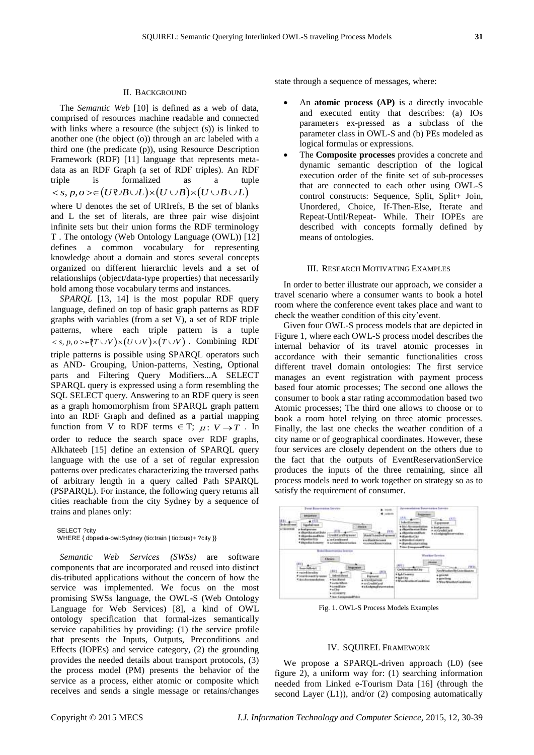## II. BACKGROUND

The *Semantic Web* [10] is defined as a web of data, comprised of resources machine readable and connected with links where a resource (the subject (s)) is linked to another one (the object (o)) through an arc labeled with a third one (the predicate (p)), using Resource Description Framework (RDF) [11] language that represents metadata as an RDF Graph (a set of RDF triples). An RDF triple is formalized as a tuple  $s, p, o \geq (U \cup B \cup L) \times (U \cup B) \times (U \cup B \cup L)$ 

where U denotes the set of URIrefs, B the set of blanks and L the set of literals, are three pair wise disjoint infinite sets but their union forms the RDF terminology T . The ontology (Web Ontology Language (OWL)) [12] defines a common vocabulary for representing knowledge about a domain and stores several concepts organized on different hierarchic levels and a set of relationships (object/data-type properties) that necessarily hold among those vocabulary terms and instances.

*SPARQL* [13, 14] is the most popular RDF query language, defined on top of basic graph patterns as RDF graphs with variables (from a set V), a set of RDF triple patterns, where each triple pattern is a tuple  $s, p, o \geq (T \cup V) \times (U \cup V) \times (T \cup V)$ . Combining RDF triple patterns is possible using SPARQL operators such as AND- Grouping, Union-patterns, Nesting, Optional parts and Filtering Query Modifiers...A SELECT SPARQL query is expressed using a form resembling the SQL SELECT query. Answering to an RDF query is seen as a graph homomorphism from SPARQL graph pattern into an RDF Graph and defined as a partial mapping function from V to RDF terms  $\in$  T;  $\mu$ :  $V \rightarrow T$ . In order to reduce the search space over RDF graphs, Alkhateeb [15] define an extension of SPARQL query language with the use of a set of regular expression patterns over predicates characterizing the traversed paths of arbitrary length in a query called Path SPARQL (PSPARQL). For instance, the following query returns all cities reachable from the city Sydney by a sequence of trains and planes only:

SELECT ?city WHERE { dbpedia-owl:Sydney (tio:train | tio:bus)+ ?city }}

*Semantic Web Services (SWSs)* are software components that are incorporated and reused into distinct dis-tributed applications without the concern of how the service was implemented. We focus on the most promising SWSs language, the OWL-S (Web Ontology Language for Web Services) [8], a kind of OWL ontology specification that formal-izes semantically service capabilities by providing: (1) the service profile that presents the Inputs, Outputs, Preconditions and Effects (IOPEs) and service category, (2) the grounding provides the needed details about transport protocols, (3) the process model (PM) presents the behavior of the service as a process, either atomic or composite which receives and sends a single message or retains/changes

state through a sequence of messages, where:

- An **atomic process (AP)** is a directly invocable and executed entity that describes: (a) IOs parameters ex-pressed as a subclass of the parameter class in OWL-S and (b) PEs modeled as logical formulas or expressions.
- The **Composite processes** provides a concrete and dynamic semantic description of the logical execution order of the finite set of sub-processes that are connected to each other using OWL-S control constructs: Sequence, Split, Split+ Join, Unordered, Choice, If-Then-Else, Iterate and Repeat-Until/Repeat- While. Their IOPEs are described with concepts formally defined by means of ontologies.

#### III. RESEARCH MOTIVATING EXAMPLES

In order to better illustrate our approach, we consider a travel scenario where a consumer wants to book a hotel room where the conference event takes place and want to check the weather condition of this city'event.

Given four OWL-S process models that are depicted in Figure 1, where each OWL-S process model describes the internal behavior of its travel atomic processes in accordance with their semantic functionalities cross different travel domain ontologies: The first service manages an event registration with payment process based four atomic processes; The second one allows the consumer to book a star rating accommodation based two Atomic processes; The third one allows to choose or to book a room hotel relying on three atomic processes. Finally, the last one checks the weather condition of a city name or of geographical coordinates. However, these four services are closely dependent on the others due to the fact that the outputs of EventReservationService produces the inputs of the three remaining, since all process models need to work together on strategy so as to satisfy the requirement of consumer.



Fig. 1. OWL-S Process Models Examples

### IV. SQUIREL FRAMEWORK

We propose a SPARQL-driven approach (L0) (see figure 2), a uniform way for: (1) searching information needed from Linked e-Tourism Data [16] (through the second Layer (L1)), and/or (2) composing automatically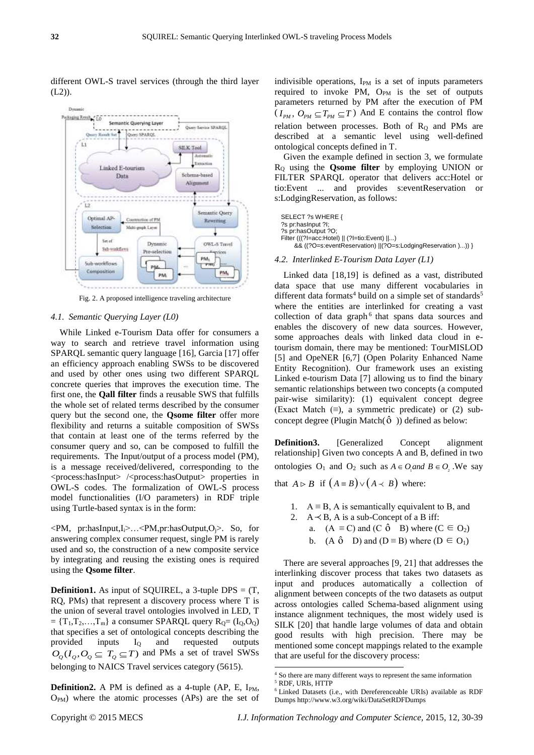different OWL-S travel services (through the third layer  $(L2)$ ).



Fig. 2. A proposed intelligence traveling architecture

## *4.1. Semantic Querying Layer (L0)*

While Linked e-Tourism Data offer for consumers a way to search and retrieve travel information using SPARQL semantic query language [16], Garcia [17] offer an efficiency approach enabling SWSs to be discovered and used by other ones using two different SPARQL concrete queries that improves the execution time. The first one, the **Qall filter** finds a reusable SWS that fulfills the whole set of related terms described by the consumer query but the second one, the **Qsome filter** offer more flexibility and returns a suitable composition of SWSs that contain at least one of the terms referred by the consumer query and so, can be composed to fulfill the requirements. The Input/output of a process model (PM), is a message received/delivered, corresponding to the <process:hasInput> /<process:hasOutput> properties in OWL-S codes. The formalization of OWL-S process model functionalities (I/O parameters) in RDF triple using Turtle-based syntax is in the form:

 $\langle PM, pr:hasInput, I_i \rangle... So, for$ answering complex consumer request, single PM is rarely used and so, the construction of a new composite service by integrating and reusing the existing ones is required using the **Qsome filter**.

**Definition1.** As input of SQUIREL, a 3-tuple DPS  $=$   $(T,$ RQ, PMs) that represent a discovery process where T is the union of several travel ontologies involved in LED, T  $=$  { $T_1, T_2, \ldots, T_m$ } a consumer SPARQL query R<sub>0</sub>= (I<sub>0</sub>,O<sub>0</sub>) that specifies a set of ontological concepts describing the provided inputs I<sup>Q</sup> and requested outputs  $O_Q(I_Q, O_Q \subseteq T_Q \subseteq T)$  and PMs a set of travel SWSs belonging to NAICS Travel services category (5615).

**Definition2.** A PM is defined as a 4-tuple (AP, E,  $I_{PM}$ ,  $O<sub>PM</sub>$ ) where the atomic processes (APs) are the set of indivisible operations,  $I_{PM}$  is a set of inputs parameters required to invoke PM, O<sub>PM</sub> is the set of outputs parameters returned by PM after the execution of PM  $(I_{PM}, O_{PM} \subseteq T_{PM} \subseteq T)$  And E contains the control flow relation between processes. Both of R<sub>Q</sub> and PMs are described at a semantic level using well-defined ontological concepts defined in T.

Given the example defined in section 3, we formulate R<sup>Q</sup> using the **Qsome filter** by employing UNION or FILTER SPARQL operator that delivers acc:Hotel or tio:Event ... and provides s:eventReservation or s:LodgingReservation, as follows:

SELECT ?s WHERE { ?s pr:hasInput ?I; ?s pr:hasOutput ?O; Filter (((?I=acc:Hotel) || (?I=tio:Event) ||...) && ((?O=s:eventReservation) ||(?O=s:LodgingReservation )...)) }

*4.2. Interlinked E-Tourism Data Layer (L1)*

Linked data [18,19] is defined as a vast, distributed data space that use many different vocabularies in different data formats<sup>4</sup> build on a simple set of standards<sup>5</sup> where the entities are interlinked for creating a vast collection of data graph<sup>6</sup> that spans data sources and enables the discovery of new data sources. However, some approaches deals with linked data cloud in etourism domain, there may be mentioned: TourMISLOD [5] and OpeNER [6,7] (Open Polarity Enhanced Name Entity Recognition). Our framework uses an existing Linked e-tourism Data [7] allowing us to find the binary semantic relationships between two concepts (a computed pair-wise similarity): (1) equivalent concept degree (Exact Match  $(\equiv)$ , a symmetric predicate) or (2) subconcept degree (Plugin Match( $\hat{0}$ )) defined as below:

**Definition3.** [Generalized Concept alignment relationship] Given two concepts A and B, defined in two ontologies  $O_1$  and  $O_2$  such as  $A \in O_1$  and  $B \in O_2$ . We say that  $A \triangleright B$  if  $(A \equiv B) \vee (A \prec B)$  where:

- 1.  $A \equiv B$ , A is semantically equivalent to B, and
- 2.  $A \prec B$ , A is a sub-Concept of a B iff:
	- a. (A  $\equiv$  C) and (C  $\hat{0}$  B) where (C  $\in$  O<sub>2</sub>)
	- b. (A  $\hat{0}$  D) and (D ≡ B) where (D ∈ O<sub>1</sub>)

There are several approaches [9, 21] that addresses the interlinking discover process that takes two datasets as input and produces automatically a collection of alignment between concepts of the two datasets as output across ontologies called Schema-based alignment using instance alignment techniques, the most widely used is SILK [20] that handle large volumes of data and obtain good results with high precision. There may be mentioned some concept mappings related to the example that are useful for the discovery process:

<sup>4</sup> So there are many different ways to represent the same information

<sup>5</sup> RDF, URIs, HTTP

<sup>6</sup> Linked Datasets (i.e., with Dereferenceable URIs) available as RDF Dumps http://www.w3.org/wiki/DataSetRDFDumps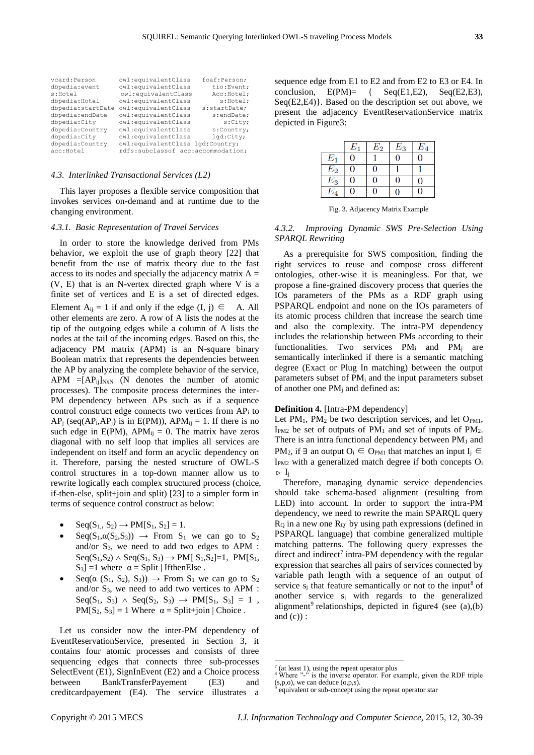| vcard: Person      | owl:equivalentClass                  | foaf:Person; |
|--------------------|--------------------------------------|--------------|
| dbpedia: event     | owl:equivalentClass                  | tio:Event;   |
| s:Hotel            | owl:equivalentClass                  | Acc:Hotel;   |
| dbpedia: Hotel     | owl:equivalentClass                  | s:Hotel;     |
| dbpedia: startDate | owl:equivalentClass                  | s:startDate; |
| dbpedia: endDate   | owl:equivalentClass                  | s:endDate;   |
| dbpedia: City      | owl:equivalentClass                  | $s:$ City;   |
| dbpedia: Country   | owl:equivalentClass                  | s:Country;   |
| dbpedia: City      | owl:equivalentClass                  | lgd:City;    |
| dbpedia: Country   | owl:equivalentClass lqd:Country;     |              |
| acc:Hotel          | rdfs: subclassof acc: accommodation; |              |
|                    |                                      |              |

#### *4.3. Interlinked Transactional Services (L2)*

This layer proposes a flexible service composition that invokes services on-demand and at runtime due to the changing environment.

#### *4.3.1. Basic Representation of Travel Services*

In order to store the knowledge derived from PMs behavior, we exploit the use of graph theory [22] that benefit from the use of matrix theory due to the fast access to its nodes and specially the adjacency matrix  $A =$ (V, E) that is an N-vertex directed graph where V is a finite set of vertices and E is a set of directed edges. Element  $A_{ij} = 1$  if and only if the edge  $(I, j) \in A$ . All other elements are zero. A row of A lists the nodes at the tip of the outgoing edges while a column of A lists the nodes at the tail of the incoming edges. Based on this, the adjacency PM matrix (APM) is an N-square binary Boolean matrix that represents the dependencies between the AP by analyzing the complete behavior of the service,  $APM = [AP_{ii}]_{NxN}$  (N denotes the number of atomic processes). The composite process determines the inter-PM dependency between APs such as if a sequence control construct edge connects two vertices from AP<sup>i</sup> to  $AP_i$  (seq(AP<sub>i</sub>,AP<sub>i</sub>) is in E(PM)), APM<sub>ij</sub> = 1. If there is no such edge in E(PM),  $APM_{ij} = 0$ . The matrix have zeros diagonal with no self loop that implies all services are independent on itself and form an acyclic dependency on it. Therefore, parsing the nested structure of OWL-S control structures in a top-down manner allow us to rewrite logically each complex structured process (choice, if-then-else, split+join and split) [23] to a simpler form in terms of sequence control construct as below:

- $Seq(S_1, S_2) \rightarrow PM[S_1, S_2] = 1.$
- $Seq(S_1, \alpha(S_2, S_3)) \rightarrow From S_1$  we can go to  $S_2$ and/or S3, we need to add two edges to APM :  $Seq(S_1, S_2) \wedge Seq(S_1, S_3) \rightarrow PM[S_1, S_2]=1$ ,  $PM[S_1, S_2]$  $S_3$ ] =1 where  $\alpha$  = Split | Ifthen Else.
- Seq( $\alpha$  (S<sub>1</sub>, S<sub>2</sub>), S<sub>3</sub>))  $\rightarrow$  From S<sub>1</sub> we can go to S<sub>2</sub> and/or  $S_3$ , we need to add two vertices to APM :  $Seq(S_1, S_3) \wedge Seq(S_2, S_3) \rightarrow PM[S_1, S_3] = 1$ ,  $PM[S_2, S_3] = 1$  Where  $\alpha = Split+join$  | Choice.

Let us consider now the inter-PM dependency of EventReservationService, presented in Section 3, it contains four atomic processes and consists of three sequencing edges that connects three sub-processes SelectEvent (E1), SignInEvent (E2) and a Choice process between BankTransferPayement (E3) and creditcardpayement (E4). The service illustrates a

sequence edge from E1 to E2 and from E2 to E3 or E4. In conclusion,  $E(PM) = \{ \text{Seq}(E1, E2), \text{Seq}(E2, E3), \}$ Seq(E2,E4)}. Based on the description set out above, we present the adjacency EventReservationService matrix depicted in Figure3:

|                  | $\scriptstyle E_1$ | $E_2\,$ | $E_{3}$ | $\scriptstyle E_4$ |
|------------------|--------------------|---------|---------|--------------------|
| $E_1$            | O                  |         | O       | O                  |
| $\overline{E_2}$ | O                  | ŋ       |         |                    |
| $\overline{E_3}$ | 0                  | I       | 0       | 0                  |
| E4               |                    |         |         |                    |

Fig. 3. Adjacency Matrix Example

*4.3.2. Improving Dynamic SWS Pre-Selection Using SPARQL Rewriting*

As a prerequisite for SWS composition, finding the right services to reuse and compose cross different ontologies, other-wise it is meaningless. For that, we propose a fine-grained discovery process that queries the IOs parameters of the PMs as a RDF graph using PSPARQL endpoint and none on the IOs parameters of its atomic process children that increase the search time and also the complexity. The intra-PM dependency includes the relationship between PMs according to their functionalities. Two services  $PM_i$  and  $PM_i$  are semantically interlinked if there is a semantic matching degree (Exact or Plug In matching) between the output parameters subset of  $PM<sub>i</sub>$  and the input parameters subset of another one PM<sup>j</sup> and defined as:

## **Definition 4.** [Intra-PM dependency]

Let  $PM_1$ ,  $PM_2$  be two description services, and let  $O<sub>PM1</sub>$ ,  $I_{PM2}$  be set of outputs of PM<sub>1</sub> and set of inputs of PM<sub>2</sub>. There is an intra functional dependency between  $PM<sub>1</sub>$  and PM<sub>2</sub>, if ∃ an output O<sub>i</sub>  $\in$  O<sub>PM1</sub> that matches an input I<sub>j</sub>  $\in$  $I_{PM2}$  with a generalized match degree if both concepts  $O_i$  $\triangleright$  I<sub>i</sub>

Therefore, managing dynamic service dependencies should take schema-based alignment (resulting from LED) into account. In order to support the intra-PM dependency, we need to rewrite the main SPARQL query  $R<sub>Q</sub>$  in a new one  $R<sub>Q</sub>$ ' by using path expressions (defined in PSPARQL language) that combine generalized multiple matching patterns. The following query expresses the direct and indirect<sup>7</sup> intra-PM dependency with the regular expression that searches all pairs of services connected by variable path length with a sequence of an output of service  $s_i$  that feature semantically or not to the input<sup>8</sup> of another service  $s_i$  with regards to the generalized alignment<sup>9</sup> relationships, depicted in figure4 (see  $(a)$ , $(b)$ ) and  $(c)$  :

<sup>7</sup>  $\frac{7}{8}$  (at least 1), using the repeat operator plus  $\frac{8}{8}$  Where  $\frac{9}{8}$  is the inverse operator. For example

is the inverse operator. For example, given the RDF triple  $(s, p, o)$ , we can deduce  $(o, p, s)$ .

<sup>&</sup>lt;sup>9</sup> equivalent or sub-concept using the repeat operator star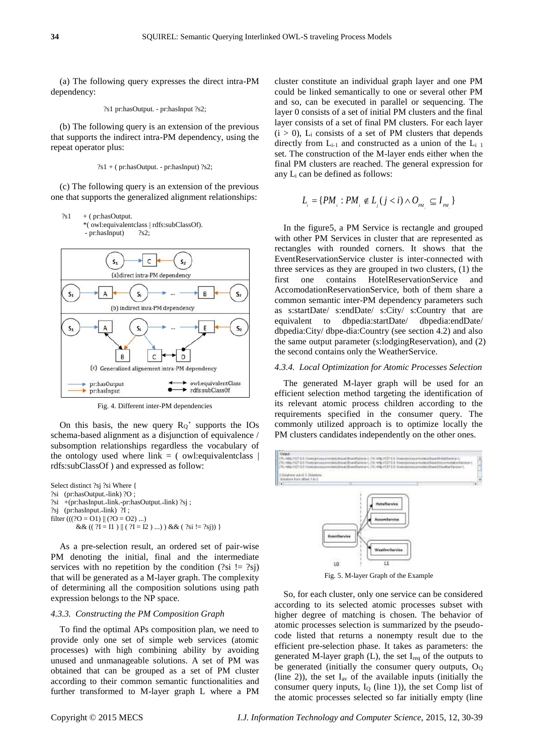(a) The following query expresses the direct intra-PM dependency:

#### ?s1 pr:hasOutput. - pr:hasInput ?s2;

(b) The following query is an extension of the previous that supports the indirect intra-PM dependency, using the repeat operator plus:

$$
?s1 + (pr:hasOutput. - pr:hasInput) ?s2;
$$

(c) The following query is an extension of the previous one that supports the generalized alignment relationships:

 $?s1 + (pr:hasOutput.$  \*( owl:equivalentclass | rdfs:subClassOf). - pr:hasInput) ?s2;



Fig. 4. Different inter-PM dependencies

On this basis, the new query  $R_Q$ ' supports the IOs schema-based alignment as a disjunction of equivalence / subsomption relationships regardless the vocabulary of the ontology used where  $link = ($  owl:equivalentclass  $|$ rdfs:subClassOf ) and expressed as follow:

```
Select distinct ?sj ?si Where {
?si (pr:hasOutput.*link) ?O :
?si +(pr:hasInput.*link.-pr:hasOutput.*link) ?sj ; 
?sj (pr:hasInput.*link) ?I ;
filter (((?O = 01) || (?O = 02) ...)&\& (( ?I = I1 ) || ( ?I = I2 ) ... )&\&& ( ?si |= ?sj))}
```
As a pre-selection result, an ordered set of pair-wise PM denoting the initial, final and the intermediate services with no repetition by the condition  $(?si != ?sj)$ that will be generated as a M-layer graph. The complexity of determining all the composition solutions using path expression belongs to the NP space.

### *4.3.3. Constructing the PM Composition Graph*

To find the optimal APs composition plan, we need to provide only one set of simple web services (atomic processes) with high combining ability by avoiding unused and unmanageable solutions. A set of PM was obtained that can be grouped as a set of PM cluster according to their common semantic functionalities and further transformed to M-layer graph L where a PM cluster constitute an individual graph layer and one PM could be linked semantically to one or several other PM and so, can be executed in parallel or sequencing. The layer 0 consists of a set of initial PM clusters and the final layer consists of a set of final PM clusters. For each layer  $(i > 0)$ , L<sub>i</sub> consists of a set of PM clusters that depends directly from  $L_{i-1}$  and constructed as a union of the  $L_{i-1}$ set. The construction of the M-layer ends either when the final PM clusters are reached. The general expression for any L<sup>i</sup> can be defined as follows:

$$
L_{i} = \{PM_{i} : PM_{i} \notin L_{j} (j < i) \land O_{_{PM_{i}}} \subseteq I_{_{PM_{i}}}\}
$$

In the figure5, a PM Service is rectangle and grouped with other PM Services in cluster that are represented as rectangles with rounded corners. It shows that the EventReservationService cluster is inter-connected with three services as they are grouped in two clusters, (1) the first one contains HotelReservationService and AccomodationReservationService, both of them share a common semantic inter-PM dependency parameters such as s:startDate/ s:endDate/ s:City/ s:Country that are equivalent to dbpedia:startDate/ dbpedia:endDate/ dbpedia:City/ dbpe-dia:Country (see section 4.2) and also the same output parameter (s:lodgingReservation), and (2) the second contains only the WeatherService.

## *4.3.4. Local Optimization for Atomic Processes Selection*

The generated M-layer graph will be used for an efficient selection method targeting the identification of its relevant atomic process children according to the requirements specified in the consumer query. The commonly utilized approach is to optimize locally the PM clusters candidates independently on the other ones.



Fig. 5. M-layer Graph of the Example

So, for each cluster, only one service can be considered according to its selected atomic processes subset with higher degree of matching is chosen. The behavior of atomic processes selection is summarized by the pseudocode listed that returns a nonempty result due to the efficient pre-selection phase. It takes as parameters: the generated M-layer graph  $(L)$ , the set I<sub>req</sub> of the outputs to be generated (initially the consumer query outputs,  $O<sub>0</sub>$ (line 2)), the set  $I_{av}$  of the available inputs (initially the consumer query inputs,  $I_Q$  (line 1)), the set Comp list of the atomic processes selected so far initially empty (line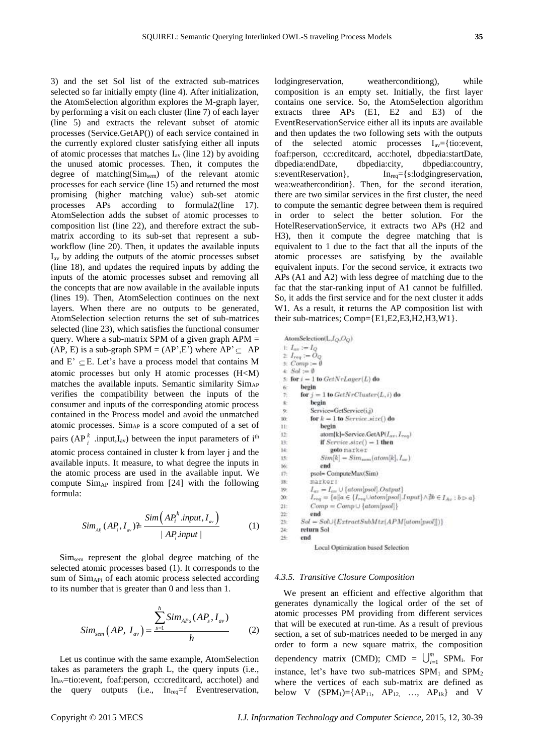3) and the set Sol list of the extracted sub-matrices selected so far initially empty (line 4). After initialization, the AtomSelection algorithm explores the M-graph layer, by performing a visit on each cluster (line 7) of each layer (line 5) and extracts the relevant subset of atomic processes (Service.GetAP()) of each service contained in the currently explored cluster satisfying either all inputs of atomic processes that matches  $I_{av}$  (line 12) by avoiding the unused atomic processes. Then, it computes the degree of matching(Simsem) of the relevant atomic processes for each service (line 15) and returned the most promising (higher matching value) sub-set atomic processes APs according to formula2(line 17). AtomSelection adds the subset of atomic processes to composition list (line 22), and therefore extract the submatrix according to its sub-set that represent a subworkflow (line 20). Then, it updates the available inputs  $I_{av}$  by adding the outputs of the atomic processes subset (line 18), and updates the required inputs by adding the inputs of the atomic processes subset and removing all the concepts that are now available in the available inputs (lines 19). Then, AtomSelection continues on the next layers. When there are no outputs to be generated, AtomSelection selection returns the set of sub-matrices selected (line 23), which satisfies the functional consumer query. Where a sub-matrix SPM of a given graph  $APM =$  $(AP, E)$  is a sub-graph SPM =  $(AP', E')$  where  $AP' \subseteq AP$ and  $E' \subseteq E$ . Let's have a process model that contains M atomic processes but only H atomic processes (H<M) matches the available inputs. Semantic similarity  $Sim<sub>AP</sub>$ verifies the compatibility between the inputs of the consumer and inputs of the corresponding atomic process contained in the Process model and avoid the unmatched atomic processes. SimAP is a score computed of a set of pairs (AP *k*  $i$ <sub>i</sub> .input,I<sub>av</sub>) between the input parameters of i<sup>th</sup> atomic process contained in cluster k from layer j and the available inputs. It measure, to what degree the inputs in the atomic process are used in the available input. We compute  $Sim_{AP}$  inspired from [24] with the following formula:

$$
Sim_{AP_i}(AP_i, I_{av}) \neq \frac{Sim\left(AP_i^k.input, I_{av}\right)}{|AP_i.input|}
$$
 (1)

 selected atomic processes based (1). It corresponds to the Simsem represent the global degree matching of the sum of Sim<sub>APi</sub> of each atomic process selected according to its number that is greater than 0 and less than 1.

$$
Sim_{sem}(AP, I_{av}) = \frac{\sum_{s=1}^{h} Sim_{APs}(AP_s, I_{av})}{h}
$$
 (2)

Let us continue with the same example, AtomSelection takes as parameters the graph L, the query inputs (i.e., Inav=tio:event, foaf:person, cc:creditcard, acc:hotel) and the query outputs (i.e.,  $In_{req}=f$  Eventreservation,

lodgingreservation, weatherconditiong), while composition is an empty set. Initially, the first layer contains one service. So, the AtomSelection algorithm extracts three APs (E1, E2 and E3) of the EventReservationService either all its inputs are available and then updates the two following sets with the outputs of the selected atomic processes  $I_{av}$ ={tio:event, foaf:person, cc:creditcard, acc:hotel, dbpedia:startDate, dbpedia:endDate, dbpedia:city, dbpedia:country, s:eventReservation},  $In_{req} = {s:lodging reservation}$ , wea:weathercondition}. Then, for the second iteration, there are two similar services in the first cluster, the need to compute the semantic degree between them is required in order to select the better solution. For the HotelReservationService, it extracts two APs (H2 and H3), then it compute the degree matching that is equivalent to 1 due to the fact that all the inputs of the atomic processes are satisfying by the available equivalent inputs. For the second service, it extracts two APs (A1 and A2) with less degree of matching due to the fac that the star-ranking input of A1 cannot be fulfilled. So, it adds the first service and for the next cluster it adds W1. As a result, it returns the AP composition list with their sub-matrices; Comp={E1,E2,E3,H2,H3,W1}.

AtomSelection(L, $I_Q$ , $O_Q$ )

```
L I_{av} := I_O2\, I_{req} ;= O_Q\pm Comp := \emptyset4: Sol := \emptyset\leq for i = 1 to GetNrLayer(L) do
 \hat{\mathbf{s}}begin
        for j = 1 to GetNrCluster(L, i) do
 ŋ,
 ś
            begin
            Service»GetService(i.j)
 \alphafor k = 1 to Service.size() do
10<sub>z</sub>begin
18:
                atom[k]=Service.GetAP(IaviIraq)
1213If Service.size() - 1 then
                    goto marker
14:15
                Sim[k] - Sim_{norm}(atom[k], I_{err})end
16
17psol= ComputeMax(Sim)
18marker:
            I_{ax} - I_{ax} \cup {atom[psol].Output}10
            I_{req} = \{a | \!\!\mid \! a \in \{I_{req} \cup atom[psol].Input\} \wedge \nexists b \in I_{Av} : b \rhd a\}2021:Comp = Comp \cup \{atom | psol|\}22end
        Sol = Sol \cup \{ExtractSubMatz(APM[atom[psol]])\}2374 -return Sol
25end
              Local Optimization based Selection
```
#### *4.3.5. Transitive Closure Composition*

We present an efficient and effective algorithm that generates dynamically the logical order of the set of atomic processes PM providing from different services that will be executed at run-time. As a result of previous section, a set of sub-matrices needed to be merged in any order to form a new square matrix, the composition dependency matrix (CMD); CMD =  $\bigcup_{i=1}^{m}$ *m*  $\sum_{i=1}^{m}$  SPM<sub>i</sub>. For instance, let's have two sub-matrices  $SPM<sub>1</sub>$  and  $SPM<sub>2</sub>$ where the vertices of each sub-matrix are defined as below V  $(SPM_1) = \{AP_{11}, AP_{12}, \ldots, AP_{1k}\}$  and V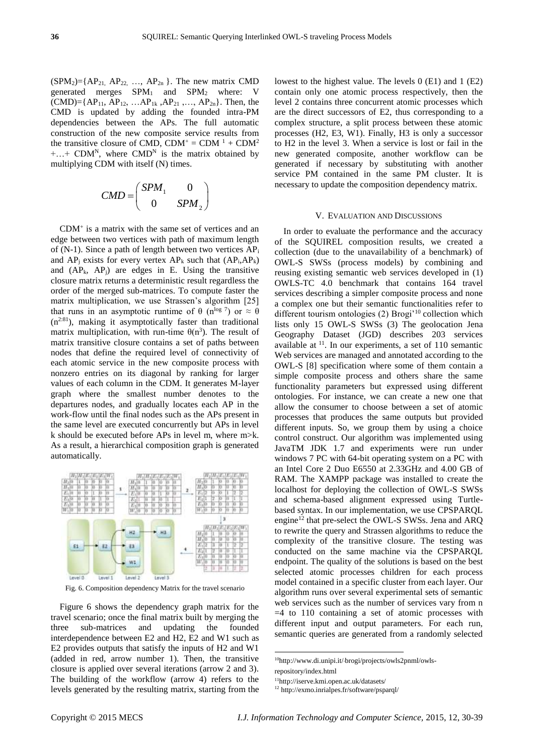$(SPM_2) = {AP_{21}, AP_{22}, \ldots, AP_{2n}}$ . The new matrix CMD generated merges SPM<sup>1</sup> and SPM<sup>2</sup> where: V  $(CMD) = {AP<sub>11</sub>, AP<sub>12</sub>, ...AP<sub>1k</sub>, AP<sub>21</sub>, ..., AP<sub>2n</sub>}.$  Then, the CMD is updated by adding the founded intra-PM dependencies between the APs. The full automatic construction of the new composite service results from the transitive closure of CMD, CDM<sup>+</sup> = CDM<sup>-1</sup> + CDM<sup>2</sup>  $+...+$  CDM<sup>N</sup>, where CMD<sup>N</sup> is the matrix obtained by multiplying CDM with itself (N) times.

$$
CMD = \begin{pmatrix} SPM_1 & 0 \\ 0 & SPM_2 \end{pmatrix}
$$

CDM<sup>+</sup> is a matrix with the same set of vertices and an edge between two vertices with path of maximum length of (N-1). Since a path of length between two vertices AP<sup>i</sup> and  $AP_i$  exists for every vertex  $AP_k$  such that  $(AP_i, AP_k)$ and  $(AP_k, AP_j)$  are edges in E. Using the transitive closure matrix returns a deterministic result regardless the order of the merged sub-matrices. To compute faster the matrix multiplication, we use Strassen's algorithm [25] that runs in an asymptotic runtime of  $\theta$  (n<sup>log 7</sup>) or  $\approx \theta$  $(n^{2:81})$ , making it asymptotically faster than traditional matrix multiplication, with run-time  $\theta(n^3)$ . The result of matrix transitive closure contains a set of paths between nodes that define the required level of connectivity of each atomic service in the new composite process with nonzero entries on its diagonal by ranking for larger values of each column in the CDM. It generates M-layer graph where the smallest number denotes to the departures nodes, and gradually locates each AP in the work-flow until the final nodes such as the APs present in the same level are executed concurrently but APs in level k should be executed before APs in level m, where m>k. As a result, a hierarchical composition graph is generated automatically.



Fig. 6. Composition dependency Matrix for the travel scenario

Figure 6 shows the dependency graph matrix for the travel scenario; once the final matrix built by merging the three sub-matrices and updating the founded interdependence between E2 and H2, E2 and W1 such as E2 provides outputs that satisfy the inputs of H2 and W1 (added in red, arrow number 1). Then, the transitive closure is applied over several iterations (arrow 2 and 3). The building of the workflow (arrow 4) refers to the levels generated by the resulting matrix, starting from the lowest to the highest value. The levels 0 (E1) and 1 (E2) contain only one atomic process respectively, then the level 2 contains three concurrent atomic processes which are the direct successors of E2, thus corresponding to a complex structure, a split process between these atomic processes (H2, E3, W1). Finally, H3 is only a successor to H2 in the level 3. When a service is lost or fail in the new generated composite, another workflow can be generated if necessary by substituting with another service PM contained in the same PM cluster. It is necessary to update the composition dependency matrix.

#### V. EVALUATION AND DISCUSSIONS

In order to evaluate the performance and the accuracy of the SQUIREL composition results, we created a collection (due to the unavailability of a benchmark) of OWL-S SWSs (process models) by combining and reusing existing semantic web services developed in (1) OWLS-TC 4.0 benchmark that contains 164 travel services describing a simpler composite process and none a complex one but their semantic functionalities refer to different tourism ontologies (2) Brogi<sup>'10</sup> collection which lists only 15 OWL-S SWSs (3) The geolocation Jena Geography Dataset (JGD) describes 203 services available at  $11$ . In our experiments, a set of 110 semantic Web services are managed and annotated according to the OWL-S [8] specification where some of them contain a simple composite process and others share the same functionality parameters but expressed using different ontologies. For instance, we can create a new one that allow the consumer to choose between a set of atomic processes that produces the same outputs but provided different inputs. So, we group them by using a choice control construct. Our algorithm was implemented using JavaTM JDK 1.7 and experiments were run under windows 7 PC with 64-bit operating system on a PC with an Intel Core 2 Duo E6550 at 2.33GHz and 4.00 GB of RAM. The XAMPP package was installed to create the localhost for deploying the collection of OWL-S SWSs and schema-based alignment expressed using Turtlebased syntax. In our implementation, we use CPSPARQL engine<sup>12</sup> that pre-select the OWL-S SWSs. Jena and ARQ to rewrite the query and Strassen algorithms to reduce the complexity of the transitive closure. The testing was conducted on the same machine via the CPSPARQL endpoint. The quality of the solutions is based on the best selected atomic processes children for each process model contained in a specific cluster from each layer. Our algorithm runs over several experimental sets of semantic web services such as the number of services vary from n  $=4$  to 110 containing a set of atomic processes with different input and output parameters. For each run, semantic queries are generated from a randomly selected

<sup>10</sup>http://www.di.unipi.it/˜brogi/projects/owls2pnml/owls-

repository/index.html

<sup>11</sup>http://iserve.kmi.open.ac.uk/datasets/

<sup>12</sup> http://exmo.inrialpes.fr/software/psparql/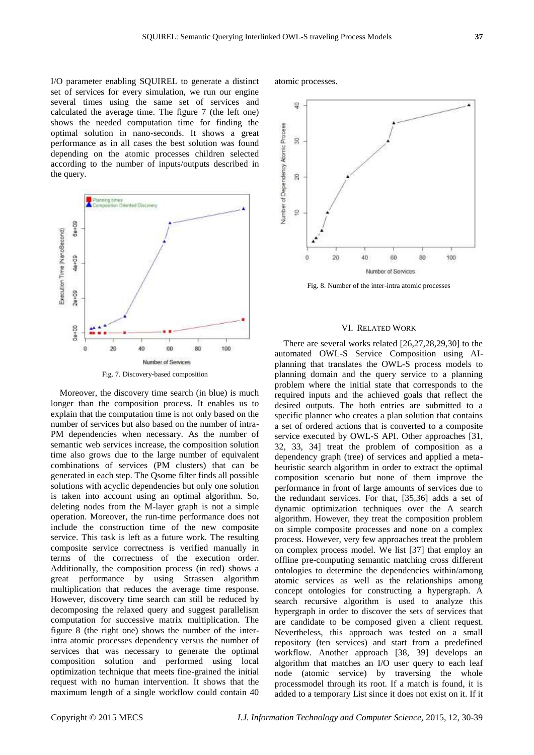I/O parameter enabling SQUIREL to generate a distinct set of services for every simulation, we run our engine several times using the same set of services and calculated the average time. The figure 7 (the left one) shows the needed computation time for finding the optimal solution in nano-seconds. It shows a great performance as in all cases the best solution was found depending on the atomic processes children selected according to the number of inputs/outputs described in the query.



Fig. 7. Discovery-based composition

Moreover, the discovery time search (in blue) is much longer than the composition process. It enables us to explain that the computation time is not only based on the number of services but also based on the number of intra-PM dependencies when necessary. As the number of semantic web services increase, the composition solution time also grows due to the large number of equivalent combinations of services (PM clusters) that can be generated in each step. The Qsome filter finds all possible solutions with acyclic dependencies but only one solution is taken into account using an optimal algorithm. So, deleting nodes from the M-layer graph is not a simple operation. Moreover, the run-time performance does not include the construction time of the new composite service. This task is left as a future work. The resulting composite service correctness is verified manually in terms of the correctness of the execution order. Additionally, the composition process (in red) shows a great performance by using Strassen algorithm multiplication that reduces the average time response. However, discovery time search can still be reduced by decomposing the relaxed query and suggest parallelism computation for successive matrix multiplication. The figure 8 (the right one) shows the number of the interintra atomic processes dependency versus the number of services that was necessary to generate the optimal composition solution and performed using local optimization technique that meets fine-grained the initial request with no human intervention. It shows that the maximum length of a single workflow could contain 40

atomic processes.



Fig. 8. Number of the inter-intra atomic processes

## VI. RELATED WORK

There are several works related [26,27,28,29,30] to the automated OWL-S Service Composition using AIplanning that translates the OWL-S process models to planning domain and the query service to a planning problem where the initial state that corresponds to the required inputs and the achieved goals that reflect the desired outputs. The both entries are submitted to a specific planner who creates a plan solution that contains a set of ordered actions that is converted to a composite service executed by OWL-S API. Other approaches [31, 32, 33, 34] treat the problem of composition as a dependency graph (tree) of services and applied a metaheuristic search algorithm in order to extract the optimal composition scenario but none of them improve the performance in front of large amounts of services due to the redundant services. For that, [35,36] adds a set of dynamic optimization techniques over the A search algorithm. However, they treat the composition problem on simple composite processes and none on a complex process. However, very few approaches treat the problem on complex process model. We list [37] that employ an offline pre-computing semantic matching cross different ontologies to determine the dependencies within/among atomic services as well as the relationships among concept ontologies for constructing a hypergraph. A search recursive algorithm is used to analyze this hypergraph in order to discover the sets of services that are candidate to be composed given a client request. Nevertheless, this approach was tested on a small repository (ten services) and start from a predefined workflow. Another approach [38, 39] develops an algorithm that matches an I/O user query to each leaf node (atomic service) by traversing the whole processmodel through its root. If a match is found, it is added to a temporary List since it does not exist on it. If it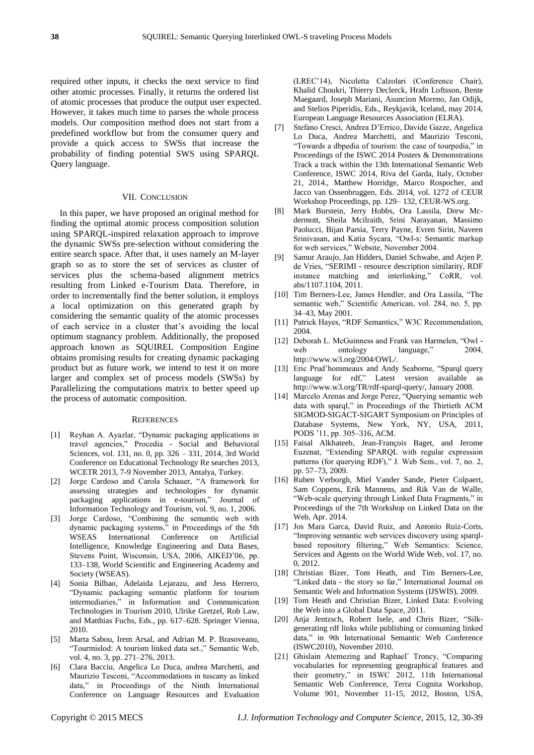required other inputs, it checks the next service to find other atomic processes. Finally, it returns the ordered list of atomic processes that produce the output user expected. However, it takes much time to parses the whole process models. Our composition method does not start from a predefined workflow but from the consumer query and provide a quick access to SWSs that increase the probability of finding potential SWS using SPARQL Query language.

#### VII. CONCLUSION

In this paper, we have proposed an original method for finding the optimal atomic process composition solution using SPARQL-inspired relaxation approach to improve the dynamic SWSs pre-selection without considering the entire search space. After that, it uses namely an M-layer graph so as to store the set of services as cluster of services plus the schema-based alignment metrics resulting from Linked e-Tourism Data. Therefore, in order to incrementally find the better solution, it employs a local optimization on this generated graph by considering the semantic quality of the atomic processes of each service in a cluster that's avoiding the local optimum stagnancy problem. Additionally, the proposed approach known as SQUIREL Composition Engine obtains promising results for creating dynamic packaging product but as future work, we intend to test it on more larger and complex set of process models (SWSs) by Parallelizing the computations matrix to better speed up the process of automatic composition.

#### **REFERENCES**

- [1] Reyhan A. Ayazlar, "Dynamic packaging applications in travel agencies," Procedia - Social and Behavioral Sciences, vol. 131, no. 0, pp. 326 – 331, 2014, 3rd World Conference on Educational Technology Re searches 2013, WCETR 2013, 7-9 November 2013, Antalya, Turkey.
- [2] Jorge Cardoso and Carola Schauer, "A framework for assessing strategies and technologies for dynamic packaging applications in e-tourism," Journal of Information Technology and Tourism, vol. 9, no. 1, 2006.
- [3] Jorge Cardoso, "Combining the semantic web with dynamic packaging systems," in Proceedings of the 5th WSEAS International Conference on Artificial Intelligence, Knowledge Engineering and Data Bases, Stevens Point, Wisconsin, USA, 2006, AIKED'06, pp. 133–138, World Scientific and Engineering Academy and Society (WSEAS).
- [4] Sonia Bilbao, Adelaida Lejarazu, and Jess Herrero, "Dynamic packaging semantic platform for tourism intermediaries," in Information and Communication Technologies in Tourism 2010, Ulrike Gretzel, Rob Law, and Matthias Fuchs, Eds., pp. 617–628. Springer Vienna, 2010.
- [5] Marta Sabou, Irem Arsal, and Adrian M. P. Brasoveanu, "Tourmislod: A tourism linked data set.," Semantic Web, vol. 4, no. 3, pp. 271–276, 2013.
- [6] Clara Bacciu, Angelica Lo Duca, andrea Marchetti, and Maurizio Tesconi, "Accommodations in tuscany as linked data," in Proceedings of the Ninth International Conference on Language Resources and Evaluation

(LREC'14), Nicoletta Calzolari (Conference Chair), Khalid Choukri, Thierry Declerck, Hrafn Loftsson, Bente Maegaard, Joseph Mariani, Asuncion Moreno, Jan Odijk, and Stelios Piperidis, Eds., Reykjavik, Iceland, may 2014, European Language Resources Association (ELRA).

- [7] Stefano Cresci, Andrea D'Errico, Davide Gazze, Angelica Lo Duca, Andrea Marchetti, and Maurizio Tesconi, "Towards a dbpedia of tourism: the case of tourpedia," in Proceedings of the ISWC 2014 Posters & Demonstrations Track a track within the 13th International Semantic Web Conference, ISWC 2014, Riva del Garda, Italy, October 21, 2014., Matthew Horridge, Marco Rospocher, and Jacco van Ossenbruggen, Eds. 2014, vol. 1272 of CEUR Workshop Proceedings, pp. 129– 132, CEUR-WS.org.
- [8] Mark Burstein, Jerry Hobbs, Ora Lassila, Drew Mcdermott, Sheila Mcilraith, Srini Narayanan, Massimo Paolucci, Bijan Parsia, Terry Payne, Evren Sirin, Naveen Srinivasan, and Katia Sycara, "Owl-s: Semantic markup for web services," Website, November 2004.
- [9] Samur Araujo, Jan Hidders, Daniel Schwabe, and Arjen P. de Vries, "SERIMI - resource description similarity, RDF instance matching and interlinking," CoRR, vol. abs/1107.1104, 2011.
- [10] Tim Berners-Lee, James Hendler, and Ora Lassila, "The semantic web," Scientific American, vol. 284, no. 5, pp. 34–43, May 2001.
- [11] Patrick Hayes, "RDF Semantics," W3C Recommendation, 2004.
- [12] Deborah L. McGuinness and Frank van Harmelen, "Owl web ontology language," 2004, http://www.w3.org/2004/OWL/.
- [13] Eric Prud'hommeaux and Andy Seaborne, "Sparql query language for rdf," Latest version available as http://www.w3.org/TR/rdf-sparql-query/, January 2008.
- [14] Marcelo Arenas and Jorge Perez, "Querying semantic web data with sparql," in Proceedings of the Thirtieth ACM SIGMOD-SIGACT-SIGART Symposium on Principles of Database Systems, New York, NY, USA, 2011, PODS '11, pp. 305–316, ACM.
- [15] Faisal Alkhateeb, Jean-François Baget, and Jerome Euzenat, "Extending SPARQL with regular expression patterns (for querying RDF)," J. Web Sem., vol. 7, no. 2, pp. 57–73, 2009.
- [16] Ruben Verborgh, Miel Vander Sande, Pieter Colpaert, Sam Coppens, Erik Mannens, and Rik Van de Walle, "Web-scale querying through Linked Data Fragments," in Proceedings of the 7th Workshop on Linked Data on the Web, Apr. 2014.
- [17] Jos Mara Garca, David Ruiz, and Antonio Ruiz-Corts, "Improving semantic web services discovery using sparqlbased repository filtering," Web Semantics: Science, Services and Agents on the World Wide Web, vol. 17, no. 0, 2012.
- [18] Christian Bizer, Tom Heath, and Tim Berners-Lee, "Linked data - the story so far," International Journal on Semantic Web and Information Systems (IJSWIS), 2009.
- [19] Tom Heath and Christian Bizer, Linked Data: Evolving the Web into a Global Data Space, 2011.
- [20] Anja Jentzsch, Robert Isele, and Chris Bizer, "Silkgenerating rdf links while publishing or consuming linked data," in 9th International Semantic Web Conference (ISWC2010), November 2010.
- [21] Ghislain Atemezing and Raphael¨ Troncy, "Comparing vocabularies for representing geographical features and their geometry," in ISWC 2012, 11th International Semantic Web Conference, Terra Cognita Workshop, Volume 901, November 11-15, 2012, Boston, USA,